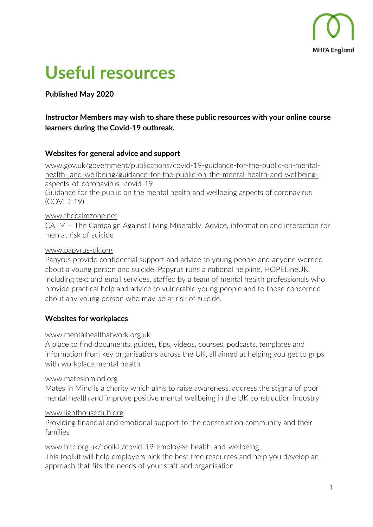

# **Useful resources**

**Published May 2020**

# **Instructor Members may wish to share these public resources with your online course learners during the Covid-19 outbreak.**

## **Websites for general advice and support**

[www.gov.uk/government/publications/covid-19-guidance-for-the-public-on-mental](http://www.gov.uk/government/publications/covid-19-guidance-for-the-public-on-mental-health-)[health-](http://www.gov.uk/government/publications/covid-19-guidance-for-the-public-on-mental-health-) [and-wellbeing/guidance-for-the-public-on-the-mental-health-and-wellbeing](https://www.gov.uk/government/publications/covid-19-guidance-for-the-public-on-mental-health-and-wellbeing/guidance-for-the-public-on-the-mental-health-and-wellbeing-aspects-of-coronavirus-covid-19)[aspects-of-coronavirus-](https://www.gov.uk/government/publications/covid-19-guidance-for-the-public-on-mental-health-and-wellbeing/guidance-for-the-public-on-the-mental-health-and-wellbeing-aspects-of-coronavirus-covid-19) [covid-19](https://www.gov.uk/government/publications/covid-19-guidance-for-the-public-on-mental-health-and-wellbeing/guidance-for-the-public-on-the-mental-health-and-wellbeing-aspects-of-coronavirus-covid-19)

Guidance for the public on the mental health and wellbeing aspects of coronavirus (COVID-19)

## [www.thecalmzone.net](https://www.thecalmzone.net/)

CALM – The Campaign Against Living Miserably. Advice, information and interaction for men at risk of suicide

## [www.papyrus-uk.org](http://www.papyrus-uk.org/)

Papyrus provide confidential support and advice to young people and anyone worried about a young person and suicide. Papyrus runs a national helpline, HOPELineUK, including text and email services, staffed by a team of mental health professionals who provide practical help and advice to vulnerable young people and to those concerned about any young person who may be at risk of suicide.

# **Websites for workplaces**

## [www.mentalhealthatwork.org.uk](https://www.mentalhealthatwork.org.uk/)

A place to find documents, guides, tips, videos, courses, podcasts, templates and information from key organisations across the UK, all aimed at helping you get to grips with workplace mental health

## [www.matesinmind.org](http://www.matesinmind.org/)

Mates in Mind is a charity which aims to raise awareness, address the stigma of poor mental health and improve positive mental wellbeing in the UK construction industry

## [www.lighthouseclub.org](https://www.lighthouseclub.org/)

Providing financial and emotional support to the construction community and their families

www.bitc.org.uk/toolkit/covid-19-employee-health-and-wellbeing This toolkit will help employers pick the best free resources and help you develop an approach that fits the needs of your staff and organisation